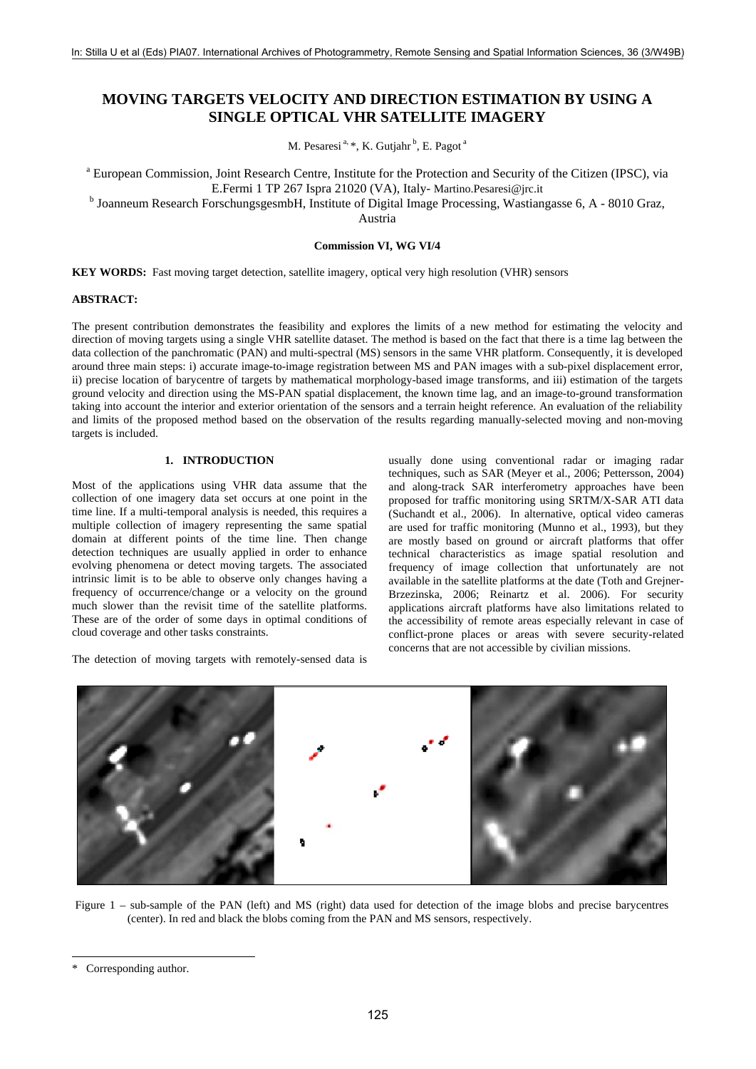# **MOVING TARGETS VELOCITY AND DIRECTION ESTIMATION BY USING A SINGLE OPTICAL VHR SATELLITE IMAGERY**

M. Pesaresi<sup>a, \*</sup>, K. Gutjahr<sup>b</sup>, E. Pagot<sup>a</sup>

<sup>a</sup> European Commission, Joint Research Centre, Institute for the Protection and Security of the Citizen (IPSC), via E.Fermi 1 TP 267 Ispra 21020 (VA), Italy- Martino.Pesaresi@jrc.it

<sup>b</sup> Joanneum Research ForschungsgesmbH, Institute of Digital Image Processing, Wastiangasse 6, A - 8010 Graz,

Austria

**Commission VI, WG VI/4** 

**KEY WORDS:** Fast moving target detection, satellite imagery, optical very high resolution (VHR) sensors

## **ABSTRACT:**

The present contribution demonstrates the feasibility and explores the limits of a new method for estimating the velocity and direction of moving targets using a single VHR satellite dataset. The method is based on the fact that there is a time lag between the data collection of the panchromatic (PAN) and multi-spectral (MS) sensors in the same VHR platform. Consequently, it is developed around three main steps: i) accurate image-to-image registration between MS and PAN images with a sub-pixel displacement error, ii) precise location of barycentre of targets by mathematical morphology-based image transforms, and iii) estimation of the targets ground velocity and direction using the MS-PAN spatial displacement, the known time lag, and an image-to-ground transformation taking into account the interior and exterior orientation of the sensors and a terrain height reference. An evaluation of the reliability and limits of the proposed method based on the observation of the results regarding manually-selected moving and non-moving targets is included.

# **1. INTRODUCTION**

Most of the applications using VHR data assume that the collection of one imagery data set occurs at one point in the time line. If a multi-temporal analysis is needed, this requires a multiple collection of imagery representing the same spatial domain at different points of the time line. Then change detection techniques are usually applied in order to enhance evolving phenomena or detect moving targets. The associated intrinsic limit is to be able to observe only changes having a frequency of occurrence/change or a velocity on the ground much slower than the revisit time of the satellite platforms. These are of the order of some days in optimal conditions of cloud coverage and other tasks constraints.

The detection of moving targets with remotely-sensed data is

usually done using conventional radar or imaging radar techniques, such as SAR (Meyer et al., 2006; Pettersson, 2004) and along-track SAR interferometry approaches have been proposed for traffic monitoring using SRTM/X-SAR ATI data (Suchandt et al., 2006). In alternative, optical video cameras are used for traffic monitoring (Munno et al., 1993), but they are mostly based on ground or aircraft platforms that offer technical characteristics as image spatial resolution and frequency of image collection that unfortunately are not available in the satellite platforms at the date (Toth and Grejner-Brzezinska, 2006; Reinartz et al. 2006). For security applications aircraft platforms have also limitations related to the accessibility of remote areas especially relevant in case of conflict-prone places or areas with severe security-related concerns that are not accessible by civilian missions.



Figure 1 – sub-sample of the PAN (left) and MS (right) data used for detection of the image blobs and precise barycentres (center). In red and black the blobs coming from the PAN and MS sensors, respectively.

l

<sup>\*</sup> Corresponding author.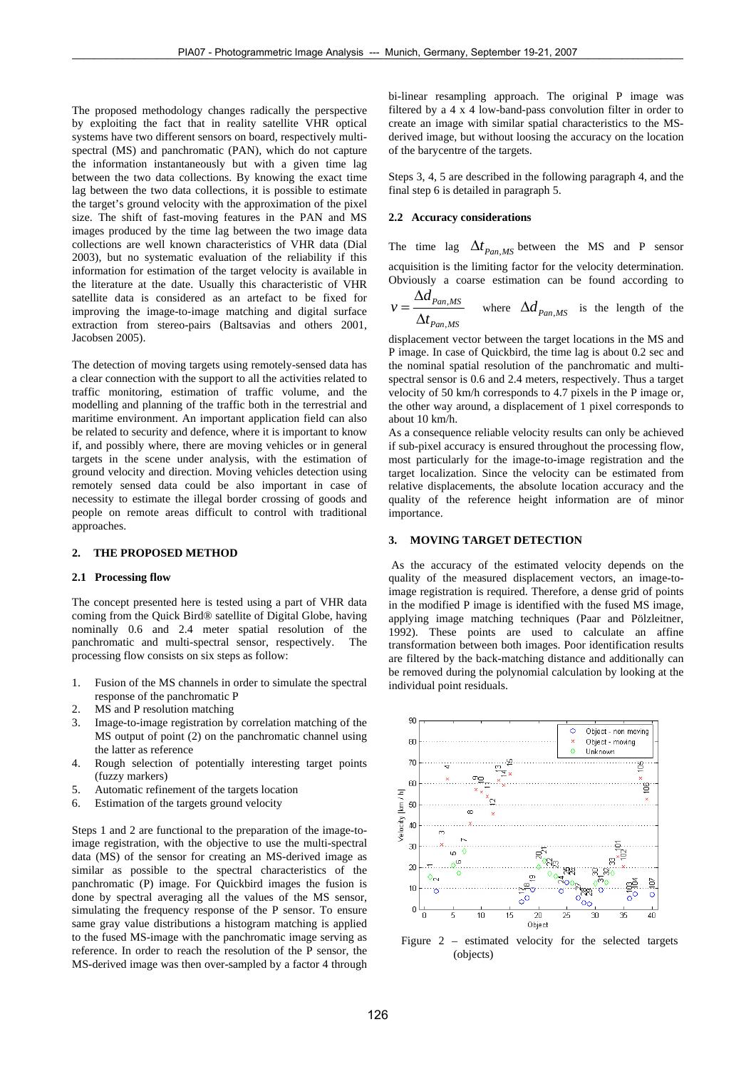The proposed methodology changes radically the perspective by exploiting the fact that in reality satellite VHR optical systems have two different sensors on board, respectively multispectral (MS) and panchromatic (PAN), which do not capture the information instantaneously but with a given time lag between the two data collections. By knowing the exact time lag between the two data collections, it is possible to estimate the target's ground velocity with the approximation of the pixel size. The shift of fast-moving features in the PAN and MS images produced by the time lag between the two image data collections are well known characteristics of VHR data (Dial 2003), but no systematic evaluation of the reliability if this information for estimation of the target velocity is available in the literature at the date. Usually this characteristic of VHR satellite data is considered as an artefact to be fixed for improving the image-to-image matching and digital surface extraction from stereo-pairs (Baltsavias and others 2001, Jacobsen 2005).

The detection of moving targets using remotely-sensed data has a clear connection with the support to all the activities related to traffic monitoring, estimation of traffic volume, and the modelling and planning of the traffic both in the terrestrial and maritime environment. An important application field can also be related to security and defence, where it is important to know if, and possibly where, there are moving vehicles or in general targets in the scene under analysis, with the estimation of ground velocity and direction. Moving vehicles detection using remotely sensed data could be also important in case of necessity to estimate the illegal border crossing of goods and people on remote areas difficult to control with traditional approaches.

#### **2. THE PROPOSED METHOD**

## **2.1 Processing flow**

The concept presented here is tested using a part of VHR data coming from the Quick Bird® satellite of Digital Globe, having nominally 0.6 and 2.4 meter spatial resolution of the panchromatic and multi-spectral sensor, respectively. The processing flow consists on six steps as follow:

- 1. Fusion of the MS channels in order to simulate the spectral response of the panchromatic P
- 2. MS and P resolution matching
- 3. Image-to-image registration by correlation matching of the MS output of point (2) on the panchromatic channel using the latter as reference
- 4. Rough selection of potentially interesting target points (fuzzy markers)
- 5. Automatic refinement of the targets location
- 6. Estimation of the targets ground velocity

Steps 1 and 2 are functional to the preparation of the image-toimage registration, with the objective to use the multi-spectral data (MS) of the sensor for creating an MS-derived image as similar as possible to the spectral characteristics of the panchromatic (P) image. For Quickbird images the fusion is done by spectral averaging all the values of the MS sensor, simulating the frequency response of the P sensor. To ensure same gray value distributions a histogram matching is applied to the fused MS-image with the panchromatic image serving as reference. In order to reach the resolution of the P sensor, the MS-derived image was then over-sampled by a factor 4 through bi-linear resampling approach. The original P image was filtered by a 4 x 4 low-band-pass convolution filter in order to create an image with similar spatial characteristics to the MSderived image, but without loosing the accuracy on the location of the barycentre of the targets.

Steps 3, 4, 5 are described in the following paragraph 4, and the final step 6 is detailed in paragraph 5.

## **2.2 Accuracy considerations**

The time lag  $\Delta t_{Pan,MS}$  between the MS and P sensor acquisition is the limiting factor for the velocity determination. Obviously a coarse estimation can be found according to

$$
v = \frac{\Delta d_{Pan,MS}}{\Delta t_{Pan,MS}}
$$
 where  $\Delta d_{Pan,MS}$  is the length of the

displacement vector between the target locations in the MS and P image. In case of Quickbird, the time lag is about 0.2 sec and the nominal spatial resolution of the panchromatic and multispectral sensor is 0.6 and 2.4 meters, respectively. Thus a target velocity of 50 km/h corresponds to 4.7 pixels in the P image or, the other way around, a displacement of 1 pixel corresponds to about 10 km/h.

As a consequence reliable velocity results can only be achieved if sub-pixel accuracy is ensured throughout the processing flow, most particularly for the image-to-image registration and the target localization. Since the velocity can be estimated from relative displacements, the absolute location accuracy and the quality of the reference height information are of minor importance.

#### **3. MOVING TARGET DETECTION**

 As the accuracy of the estimated velocity depends on the quality of the measured displacement vectors, an image-toimage registration is required. Therefore, a dense grid of points in the modified P image is identified with the fused MS image, applying image matching techniques (Paar and Pölzleitner, 1992). These points are used to calculate an affine transformation between both images. Poor identification results are filtered by the back-matching distance and additionally can be removed during the polynomial calculation by looking at the individual point residuals.



Figure 2 – estimated velocity for the selected targets (objects)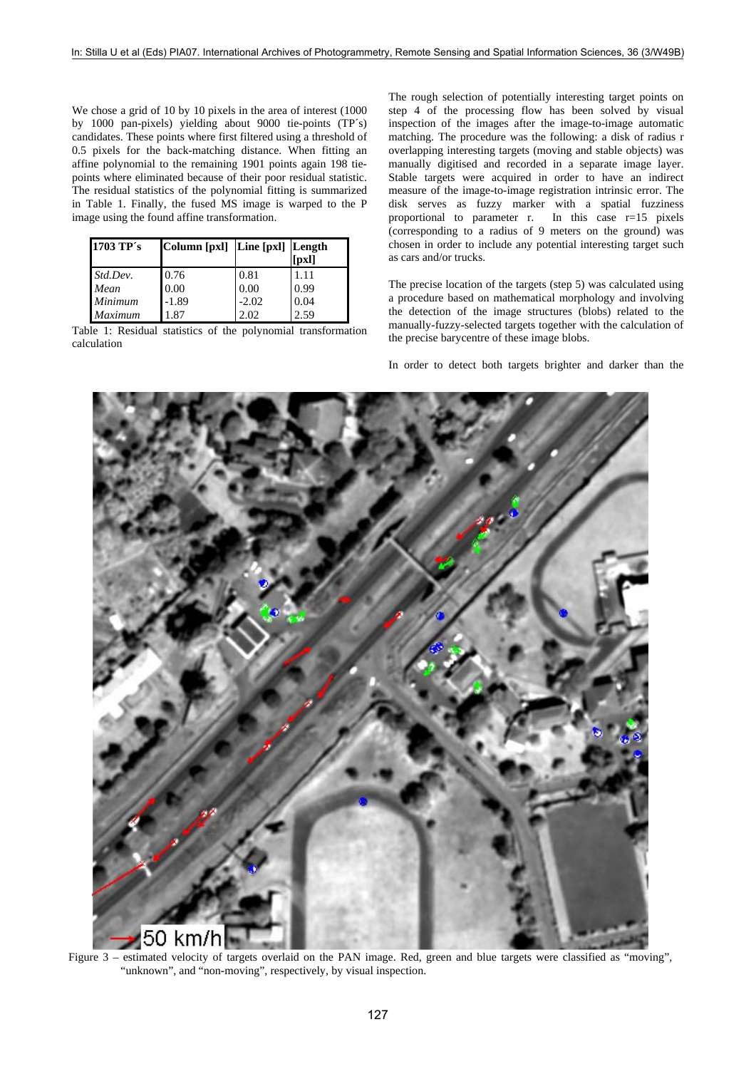We chose a grid of 10 by 10 pixels in the area of interest (1000 by 1000 pan-pixels) yielding about 9000 tie-points (TP´s) candidates. These points where first filtered using a threshold of 0.5 pixels for the back-matching distance. When fitting an affine polynomial to the remaining 1901 points again 198 tiepoints where eliminated because of their poor residual statistic. The residual statistics of the polynomial fitting is summarized in Table 1. Finally, the fused MS image is warped to the P image using the found affine transformation.

| 1703 TP's      | Column [pxl]   Line [pxl]   Length |         | [pxl] |
|----------------|------------------------------------|---------|-------|
| Std.Dev.       | 0.76                               | 0.81    | 1.11  |
| Mean           | 0.00                               | 0.00    | 0.99  |
| Minimum        | $-1.89$                            | $-2.02$ | 0.04  |
| <b>Maximum</b> | 187                                | 2.02    | 2.59  |

Table 1: Residual statistics of the polynomial transformation calculation

The rough selection of potentially interesting target points on step 4 of the processing flow has been solved by visual inspection of the images after the image-to-image automatic matching. The procedure was the following: a disk of radius r overlapping interesting targets (moving and stable objects) was manually digitised and recorded in a separate image layer. Stable targets were acquired in order to have an indirect measure of the image-to-image registration intrinsic error. The disk serves as fuzzy marker with a spatial fuzziness proportional to parameter r. In this case r=15 pixels (corresponding to a radius of 9 meters on the ground) was chosen in order to include any potential interesting target such as cars and/or trucks.

The precise location of the targets (step 5) was calculated using a procedure based on mathematical morphology and involving the detection of the image structures (blobs) related to the manually-fuzzy-selected targets together with the calculation of the precise barycentre of these image blobs.

In order to detect both targets brighter and darker than the



Figure 3 – estimated velocity of targets overlaid on the PAN image. Red, green and blue targets were classified as "moving", "unknown", and "non-moving", respectively, by visual inspection.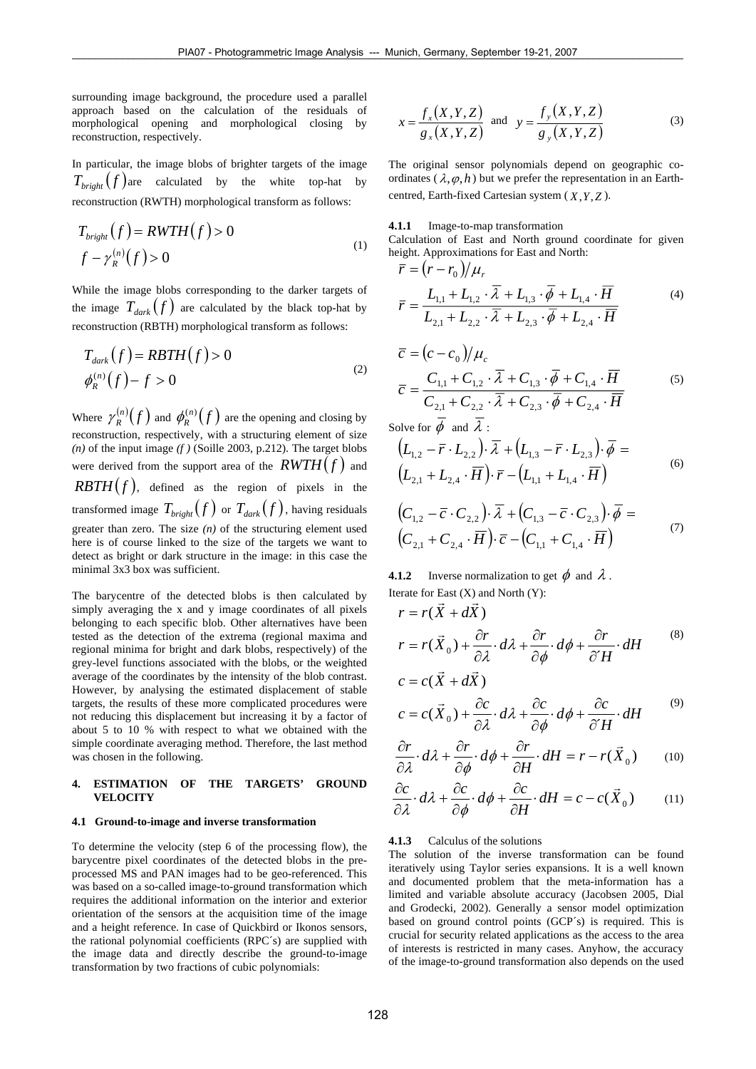surrounding image background, the procedure used a parallel approach based on the calculation of the residuals of morphological opening and morphological closing by reconstruction, respectively.

In particular, the image blobs of brighter targets of the image  $T_{bright}(f)$  are calculated by the white top-hat by reconstruction (RWTH) morphological transform as follows:

$$
T_{bright}(f) = RWTH(f) > 0
$$
  

$$
f - \gamma_R^{(n)}(f) > 0
$$
 (1)

While the image blobs corresponding to the darker targets of the image  $T_{dark} (f)$  are calculated by the black top-hat by reconstruction (RBTH) morphological transform as follows:

$$
T_{dark}(f) = RBTH(f) > 0
$$
  
\n
$$
\phi_R^{(n)}(f) - f > 0
$$
\n(2)

Where  $\gamma_R^{(n)}(f)$  and  $\phi_R^{(n)}(f)$  are the opening and closing by reconstruction, respectively, with a structuring element of size  $(n)$  of the input image  $(f)$  (Soille 2003, p.212). The target blobs were derived from the support area of the  $RWTH(f)$  and  $RBTH(f)$ , defined as the region of pixels in the transformed image  $T_{bright}(f)$  or  $T_{dark}(f)$ , having residuals greater than zero. The size  $(n)$  of the structuring element used here is of course linked to the size of the targets we want to detect as bright or dark structure in the image: in this case the minimal 3x3 box was sufficient.

The barycentre of the detected blobs is then calculated by simply averaging the x and y image coordinates of all pixels belonging to each specific blob. Other alternatives have been tested as the detection of the extrema (regional maxima and regional minima for bright and dark blobs, respectively) of the grey-level functions associated with the blobs, or the weighted average of the coordinates by the intensity of the blob contrast. However, by analysing the estimated displacement of stable targets, the results of these more complicated procedures were not reducing this displacement but increasing it by a factor of about 5 to 10 % with respect to what we obtained with the simple coordinate averaging method. Therefore, the last method was chosen in the following.

## **4. ESTIMATION OF THE TARGETS' GROUND VELOCITY**

#### **4.1 Ground-to-image and inverse transformation**

To determine the velocity (step 6 of the processing flow), the barycentre pixel coordinates of the detected blobs in the preprocessed MS and PAN images had to be geo-referenced. This was based on a so-called image-to-ground transformation which requires the additional information on the interior and exterior orientation of the sensors at the acquisition time of the image and a height reference. In case of Quickbird or Ikonos sensors, the rational polynomial coefficients (RPC´s) are supplied with the image data and directly describe the ground-to-image transformation by two fractions of cubic polynomials:

$$
x = \frac{f_x(X, Y, Z)}{g_x(X, Y, Z)} \text{ and } y = \frac{f_y(X, Y, Z)}{g_y(X, Y, Z)}
$$
(3)

The original sensor polynomials depend on geographic coordinates  $(\lambda, \varphi, h)$  but we prefer the representation in an Earthcentred, Earth-fixed Cartesian system  $(X, Y, Z)$ .

**4.1.1** Image-to-map transformation

Calculation of East and North ground coordinate for given height. Approximations for East and North:

$$
\overline{r} = (r - r_0)/\mu_r
$$
\n
$$
\overline{r} = \frac{L_{1,1} + L_{1,2} \cdot \overline{\lambda} + L_{1,3} \cdot \overline{\phi} + L_{1,4} \cdot \overline{H}}{L_{2,1} + L_{2,2} \cdot \overline{\lambda} + L_{2,3} \cdot \overline{\phi} + L_{2,4} \cdot \overline{H}}
$$
\n(4)

$$
\overline{c} = (c - c_0)/\mu_c
$$
  
\n
$$
\overline{c} = \frac{C_{1,1} + C_{1,2} \cdot \overline{\lambda} + C_{1,3} \cdot \overline{\phi} + C_{1,4} \cdot \overline{H}}{C_{2,1} + C_{2,2} \cdot \overline{\lambda} + C_{2,3} \cdot \overline{\phi} + C_{2,4} \cdot \overline{H}}
$$
\n(5)

Solve for  $\phi$  and  $\lambda$  :

$$
\left(L_{1,2} - \bar{r} \cdot L_{2,2}\right) \cdot \bar{\lambda} + \left(L_{1,3} - \bar{r} \cdot L_{2,3}\right) \cdot \bar{\phi} =
$$
\n
$$
\left(L_{2,1} + L_{2,4} \cdot \bar{H}\right) \cdot \bar{r} - \left(L_{1,1} + L_{1,4} \cdot \bar{H}\right)
$$
\n(6)

$$
(C_{1,2} - \overline{c} \cdot C_{2,2}) \cdot \overline{\lambda} + (C_{1,3} - \overline{c} \cdot C_{2,3}) \cdot \overline{\phi} =
$$
  

$$
(C_{2,1} + C_{2,4} \cdot \overline{H}) \cdot \overline{c} - (C_{1,1} + C_{1,4} \cdot \overline{H})
$$
 (7)

**4.1.2** Inverse normalization to get  $\phi$  and  $\lambda$ .

Iterate for East (X) and North (Y):  
\n
$$
r = r(\vec{X} + d\vec{X})
$$
\n
$$
r = r(\vec{X}_0) + \frac{\partial r}{\partial \lambda} \cdot d\lambda + \frac{\partial r}{\partial \phi} \cdot d\phi + \frac{\partial r}{\partial H} \cdot dH
$$
\n
$$
c = c(\vec{X} + d\vec{X})
$$
\n
$$
c = c(\vec{X}_0) + \frac{\partial c}{\partial \phi} \cdot d\lambda + \frac{\partial c}{\partial \phi} \cdot d\phi + \frac{\partial c}{\partial \phi} \cdot dH
$$
\n(9)

$$
c = c(X_0) + \frac{\partial c}{\partial \lambda} \cdot d\lambda + \frac{\partial c}{\partial \phi} \cdot d\phi + \frac{\partial c}{\partial H} \cdot dH
$$

$$
\frac{\partial r}{\partial \lambda} \cdot d\lambda + \frac{\partial r}{\partial \phi} \cdot d\phi + \frac{\partial r}{\partial H} \cdot dH = r - r(\vec{X}_0)
$$
 (10)

$$
\frac{\partial c}{\partial \lambda} \cdot d\lambda + \frac{\partial c}{\partial \phi} \cdot d\phi + \frac{\partial c}{\partial H} \cdot dH = c - c(\vec{X}_0)
$$
 (11)

## **4.1.3** Calculus of the solutions

The solution of the inverse transformation can be found iteratively using Taylor series expansions. It is a well known and documented problem that the meta-information has a limited and variable absolute accuracy (Jacobsen 2005, Dial and Grodecki, 2002). Generally a sensor model optimization based on ground control points (GCP´s) is required. This is crucial for security related applications as the access to the area of interests is restricted in many cases. Anyhow, the accuracy of the image-to-ground transformation also depends on the used